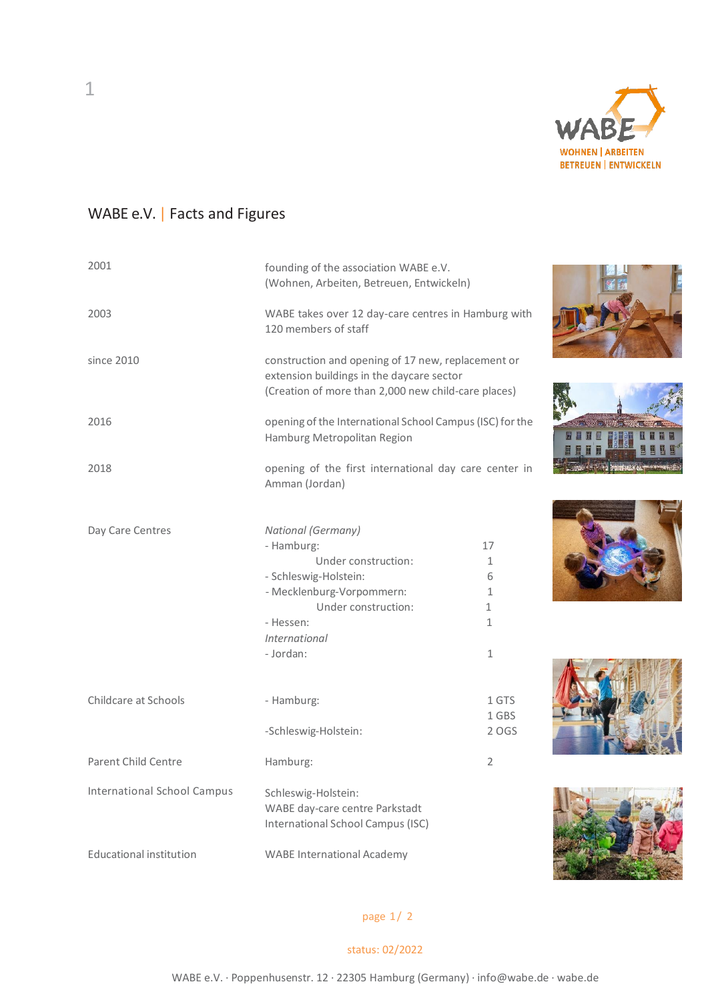

## WABE e.V. | Facts and Figures

| 2001                               | founding of the association WABE e.V.<br>(Wohnen, Arbeiten, Betreuen, Entwickeln)                                                                      |                |  |
|------------------------------------|--------------------------------------------------------------------------------------------------------------------------------------------------------|----------------|--|
| 2003                               | WABE takes over 12 day-care centres in Hamburg with<br>120 members of staff                                                                            |                |  |
| since 2010                         | construction and opening of 17 new, replacement or<br>extension buildings in the daycare sector<br>(Creation of more than 2,000 new child-care places) |                |  |
| 2016                               | opening of the International School Campus (ISC) for the<br>Hamburg Metropolitan Region                                                                |                |  |
| 2018                               | opening of the first international day care center in<br>Amman (Jordan)                                                                                |                |  |
|                                    |                                                                                                                                                        |                |  |
| Day Care Centres                   | National (Germany)<br>- Hamburg:                                                                                                                       | 17             |  |
|                                    | Under construction:                                                                                                                                    | $\mathbf{1}$   |  |
|                                    |                                                                                                                                                        | 6              |  |
|                                    | - Schleswig-Holstein:<br>- Mecklenburg-Vorpommern:                                                                                                     | 1              |  |
|                                    | Under construction:                                                                                                                                    | $\mathbf{1}$   |  |
|                                    | - Hessen:                                                                                                                                              | $\mathbf{1}$   |  |
|                                    |                                                                                                                                                        |                |  |
|                                    | International<br>- Jordan:                                                                                                                             | $\mathbf{1}$   |  |
|                                    |                                                                                                                                                        |                |  |
| Childcare at Schools               | - Hamburg:                                                                                                                                             | 1 GTS          |  |
|                                    |                                                                                                                                                        | 1 GBS          |  |
|                                    | -Schleswig-Holstein:                                                                                                                                   | 2 OGS          |  |
| <b>Parent Child Centre</b>         | Hamburg:                                                                                                                                               | $\overline{2}$ |  |
| <b>International School Campus</b> | Schleswig-Holstein:                                                                                                                                    |                |  |
|                                    | WABE day-care centre Parkstadt                                                                                                                         |                |  |
|                                    | International School Campus (ISC)                                                                                                                      |                |  |
| Educational institution            | <b>WABE International Academy</b>                                                                                                                      |                |  |

page 1/ 2

## status: 02/2022